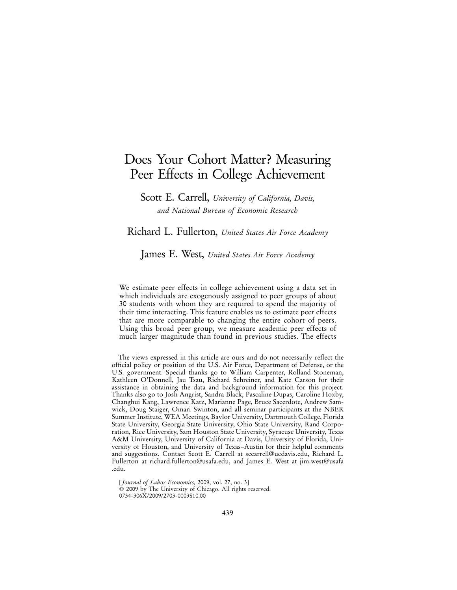# Does Your Cohort Matter? Measuring Peer Effects in College Achievement

Scott E. Carrell, *University of California, Davis, and National Bureau of Economic Research*

Richard L. Fullerton, *United States Air Force Academy*

James E. West, *United States Air Force Academy*

We estimate peer effects in college achievement using a data set in which individuals are exogenously assigned to peer groups of about 30 students with whom they are required to spend the majority of their time interacting. This feature enables us to estimate peer effects that are more comparable to changing the entire cohort of peers. Using this broad peer group, we measure academic peer effects of much larger magnitude than found in previous studies. The effects

The views expressed in this article are ours and do not necessarily reflect the official policy or position of the U.S. Air Force, Department of Defense, or the U.S. government. Special thanks go to William Carpenter, Rolland Stoneman, Kathleen O'Donnell, Jau Tsau, Richard Schreiner, and Kate Carson for their assistance in obtaining the data and background information for this project. Thanks also go to Josh Angrist, Sandra Black, Pascaline Dupas, Caroline Hoxby, Changhui Kang, Lawrence Katz, Marianne Page, Bruce Sacerdote, Andrew Samwick, Doug Staiger, Omari Swinton, and all seminar participants at the NBER Summer Institute, WEA Meetings, Baylor University, Dartmouth College, Florida State University, Georgia State University, Ohio State University, Rand Corporation, Rice University, Sam Houston State University, Syracuse University, Texas A&M University, University of California at Davis, University of Florida, University of Houston, and University of Texas–Austin for their helpful comments and suggestions. Contact Scott E. Carrell at secarrell@ucdavis.edu, Richard L. Fullerton at richard.fullerton@usafa.edu, and James E. West at jim.west@usafa .edu.

[*Journal of Labor Economics,* 2009, vol. 27, no. 3]

2009 by The University of Chicago. All rights reserved.

0734-306X/2009/2703-0003\$10.00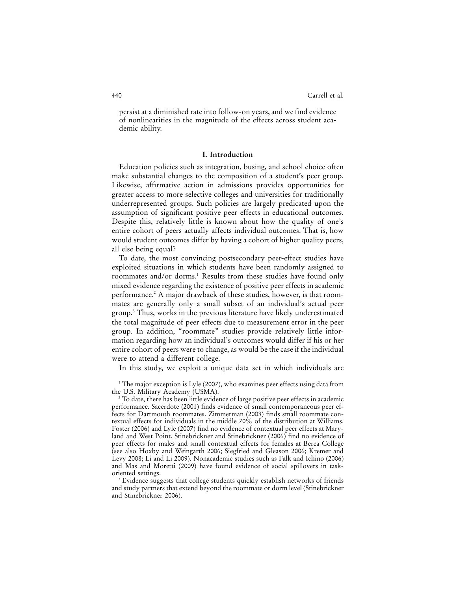persist at a diminished rate into follow-on years, and we find evidence of nonlinearities in the magnitude of the effects across student academic ability.

#### **I. Introduction**

Education policies such as integration, busing, and school choice often make substantial changes to the composition of a student's peer group. Likewise, affirmative action in admissions provides opportunities for greater access to more selective colleges and universities for traditionally underrepresented groups. Such policies are largely predicated upon the assumption of significant positive peer effects in educational outcomes. Despite this, relatively little is known about how the quality of one's entire cohort of peers actually affects individual outcomes. That is, how would student outcomes differ by having a cohort of higher quality peers, all else being equal?

To date, the most convincing postsecondary peer-effect studies have exploited situations in which students have been randomly assigned to roommates and/or dorms.<sup>1</sup> Results from these studies have found only mixed evidence regarding the existence of positive peer effects in academic performance.<sup>2</sup> A major drawback of these studies, however, is that roommates are generally only a small subset of an individual's actual peer group.3 Thus, works in the previous literature have likely underestimated the total magnitude of peer effects due to measurement error in the peer group. In addition, "roommate" studies provide relatively little information regarding how an individual's outcomes would differ if his or her entire cohort of peers were to change, as would be the case if the individual were to attend a different college.

In this study, we exploit a unique data set in which individuals are

<sup>1</sup> The major exception is Lyle (2007), who examines peer effects using data from the U.S. Military Academy (USMA).

<sup>2</sup> To date, there has been little evidence of large positive peer effects in academic performance. Sacerdote (2001) finds evidence of small contemporaneous peer effects for Dartmouth roommates. Zimmerman (2003) finds small roommate contextual effects for individuals in the middle 70% of the distribution at Williams. Foster (2006) and Lyle (2007) find no evidence of contextual peer effects at Maryland and West Point. Stinebrickner and Stinebrickner (2006) find no evidence of peer effects for males and small contextual effects for females at Berea College (see also Hoxby and Weingarth 2006; Siegfried and Gleason 2006; Kremer and Levy 2008; Li and Li 2009). Nonacademic studies such as Falk and Ichino (2006) and Mas and Moretti (2009) have found evidence of social spillovers in taskoriented settings.

<sup>3</sup> Evidence suggests that college students quickly establish networks of friends and study partners that extend beyond the roommate or dorm level (Stinebrickner and Stinebrickner 2006).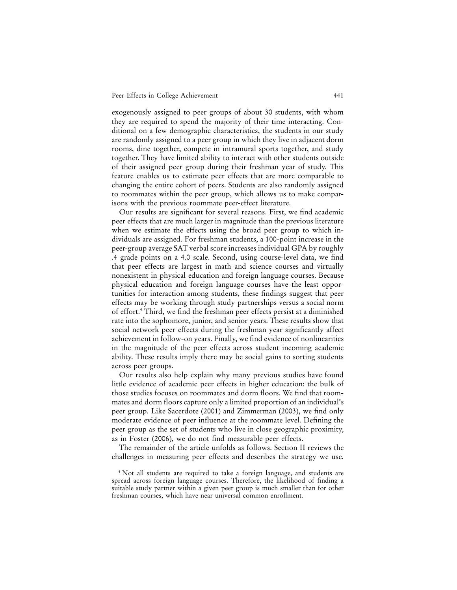exogenously assigned to peer groups of about 30 students, with whom they are required to spend the majority of their time interacting. Conditional on a few demographic characteristics, the students in our study are randomly assigned to a peer group in which they live in adjacent dorm rooms, dine together, compete in intramural sports together, and study together. They have limited ability to interact with other students outside of their assigned peer group during their freshman year of study. This feature enables us to estimate peer effects that are more comparable to changing the entire cohort of peers. Students are also randomly assigned to roommates within the peer group, which allows us to make comparisons with the previous roommate peer-effect literature.

Our results are significant for several reasons. First, we find academic peer effects that are much larger in magnitude than the previous literature when we estimate the effects using the broad peer group to which individuals are assigned. For freshman students, a 100-point increase in the peer-group average SAT verbal score increases individual GPA by roughly .4 grade points on a 4.0 scale. Second, using course-level data, we find that peer effects are largest in math and science courses and virtually nonexistent in physical education and foreign language courses. Because physical education and foreign language courses have the least opportunities for interaction among students, these findings suggest that peer effects may be working through study partnerships versus a social norm of effort.4 Third, we find the freshman peer effects persist at a diminished rate into the sophomore, junior, and senior years. These results show that social network peer effects during the freshman year significantly affect achievement in follow-on years. Finally, we find evidence of nonlinearities in the magnitude of the peer effects across student incoming academic ability. These results imply there may be social gains to sorting students across peer groups.

Our results also help explain why many previous studies have found little evidence of academic peer effects in higher education: the bulk of those studies focuses on roommates and dorm floors. We find that roommates and dorm floors capture only a limited proportion of an individual's peer group. Like Sacerdote (2001) and Zimmerman (2003), we find only moderate evidence of peer influence at the roommate level. Defining the peer group as the set of students who live in close geographic proximity, as in Foster (2006), we do not find measurable peer effects.

The remainder of the article unfolds as follows. Section II reviews the challenges in measuring peer effects and describes the strategy we use.

<sup>4</sup> Not all students are required to take a foreign language, and students are spread across foreign language courses. Therefore, the likelihood of finding a suitable study partner within a given peer group is much smaller than for other freshman courses, which have near universal common enrollment.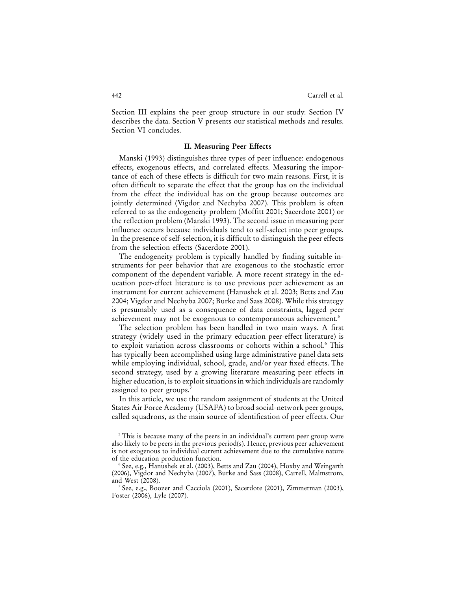Section III explains the peer group structure in our study. Section IV describes the data. Section V presents our statistical methods and results. Section VI concludes.

# **II. Measuring Peer Effects**

Manski (1993) distinguishes three types of peer influence: endogenous effects, exogenous effects, and correlated effects. Measuring the importance of each of these effects is difficult for two main reasons. First, it is often difficult to separate the effect that the group has on the individual from the effect the individual has on the group because outcomes are jointly determined (Vigdor and Nechyba 2007). This problem is often referred to as the endogeneity problem (Moffitt 2001; Sacerdote 2001) or the reflection problem (Manski 1993). The second issue in measuring peer influence occurs because individuals tend to self-select into peer groups. In the presence of self-selection, it is difficult to distinguish the peer effects from the selection effects (Sacerdote 2001).

The endogeneity problem is typically handled by finding suitable instruments for peer behavior that are exogenous to the stochastic error component of the dependent variable. A more recent strategy in the education peer-effect literature is to use previous peer achievement as an instrument for current achievement (Hanushek et al. 2003; Betts and Zau 2004; Vigdor and Nechyba 2007; Burke and Sass 2008). While this strategy is presumably used as a consequence of data constraints, lagged peer achievement may not be exogenous to contemporaneous achievement.<sup>5</sup>

The selection problem has been handled in two main ways. A first strategy (widely used in the primary education peer-effect literature) is to exploit variation across classrooms or cohorts within a school.6 This has typically been accomplished using large administrative panel data sets while employing individual, school, grade, and/or year fixed effects. The second strategy, used by a growing literature measuring peer effects in higher education, is to exploit situations in which individuals are randomly assigned to peer groups.<sup>7</sup>

In this article, we use the random assignment of students at the United States Air Force Academy (USAFA) to broad social-network peer groups, called squadrons, as the main source of identification of peer effects. Our

<sup>5</sup> This is because many of the peers in an individual's current peer group were also likely to be peers in the previous period(s). Hence, previous peer achievement is not exogenous to individual current achievement due to the cumulative nature of the education production function.

<sup>6</sup> See, e.g., Hanushek et al. (2003), Betts and Zau (2004), Hoxby and Weingarth (2006), Vigdor and Nechyba (2007), Burke and Sass (2008), Carrell, Malmstrom, and West (2008).

<sup>7</sup> See, e.g., Boozer and Cacciola (2001), Sacerdote (2001), Zimmerman (2003), Foster (2006), Lyle (2007).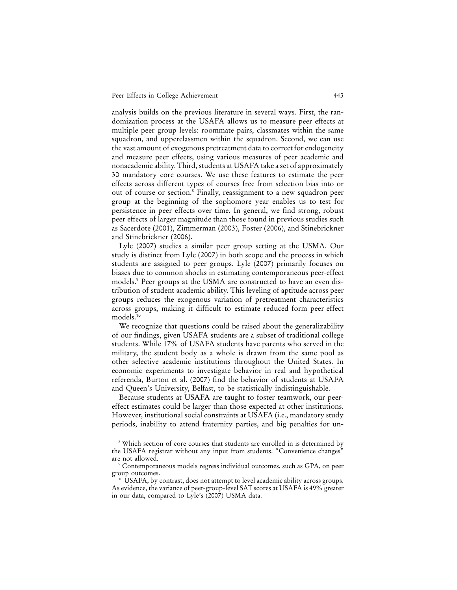analysis builds on the previous literature in several ways. First, the randomization process at the USAFA allows us to measure peer effects at multiple peer group levels: roommate pairs, classmates within the same squadron, and upperclassmen within the squadron. Second, we can use the vast amount of exogenous pretreatment data to correct for endogeneity and measure peer effects, using various measures of peer academic and nonacademic ability. Third, students at USAFA take a set of approximately 30 mandatory core courses. We use these features to estimate the peer effects across different types of courses free from selection bias into or out of course or section.8 Finally, reassignment to a new squadron peer group at the beginning of the sophomore year enables us to test for persistence in peer effects over time. In general, we find strong, robust peer effects of larger magnitude than those found in previous studies such as Sacerdote (2001), Zimmerman (2003), Foster (2006), and Stinebrickner and Stinebrickner (2006).

Lyle (2007) studies a similar peer group setting at the USMA. Our study is distinct from Lyle (2007) in both scope and the process in which students are assigned to peer groups. Lyle (2007) primarily focuses on biases due to common shocks in estimating contemporaneous peer-effect models.<sup>9</sup> Peer groups at the USMA are constructed to have an even distribution of student academic ability. This leveling of aptitude across peer groups reduces the exogenous variation of pretreatment characteristics across groups, making it difficult to estimate reduced-form peer-effect models.10

We recognize that questions could be raised about the generalizability of our findings, given USAFA students are a subset of traditional college students. While 17% of USAFA students have parents who served in the military, the student body as a whole is drawn from the same pool as other selective academic institutions throughout the United States. In economic experiments to investigate behavior in real and hypothetical referenda, Burton et al. (2007) find the behavior of students at USAFA and Queen's University, Belfast, to be statistically indistinguishable.

Because students at USAFA are taught to foster teamwork, our peereffect estimates could be larger than those expected at other institutions. However, institutional social constraints at USAFA (i.e., mandatory study periods, inability to attend fraternity parties, and big penalties for un-

<sup>&</sup>lt;sup>8</sup> Which section of core courses that students are enrolled in is determined by the USAFA registrar without any input from students. "Convenience changes" are not allowed.

<sup>9</sup> Contemporaneous models regress individual outcomes, such as GPA, on peer group outcomes.

 $10$  USAFA, by contrast, does not attempt to level academic ability across groups. As evidence, the variance of peer-group-level SAT scores at USAFA is 49% greater in our data, compared to Lyle's (2007) USMA data.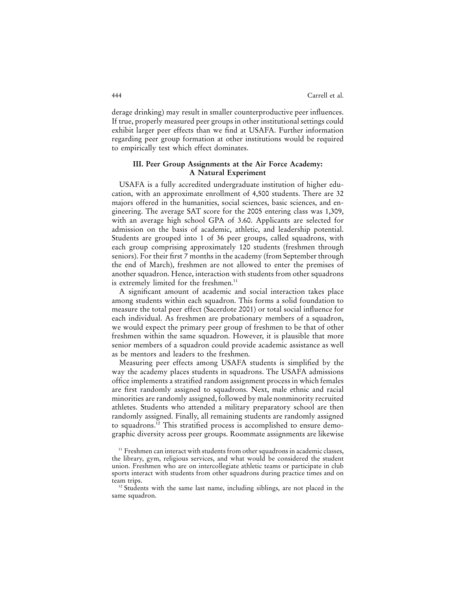derage drinking) may result in smaller counterproductive peer influences. If true, properly measured peer groups in other institutional settings could exhibit larger peer effects than we find at USAFA. Further information regarding peer group formation at other institutions would be required to empirically test which effect dominates.

# **III. Peer Group Assignments at the Air Force Academy: A Natural Experiment**

USAFA is a fully accredited undergraduate institution of higher education, with an approximate enrollment of 4,500 students. There are 32 majors offered in the humanities, social sciences, basic sciences, and engineering. The average SAT score for the 2005 entering class was 1,309, with an average high school GPA of 3.60. Applicants are selected for admission on the basis of academic, athletic, and leadership potential. Students are grouped into 1 of 36 peer groups, called squadrons, with each group comprising approximately 120 students (freshmen through seniors). For their first 7 months in the academy (from September through the end of March), freshmen are not allowed to enter the premises of another squadron. Hence, interaction with students from other squadrons is extremely limited for the freshmen.<sup>11</sup>

A significant amount of academic and social interaction takes place among students within each squadron. This forms a solid foundation to measure the total peer effect (Sacerdote 2001) or total social influence for each individual. As freshmen are probationary members of a squadron, we would expect the primary peer group of freshmen to be that of other freshmen within the same squadron. However, it is plausible that more senior members of a squadron could provide academic assistance as well as be mentors and leaders to the freshmen.

Measuring peer effects among USAFA students is simplified by the way the academy places students in squadrons. The USAFA admissions office implements a stratified random assignment process in which females are first randomly assigned to squadrons. Next, male ethnic and racial minorities are randomly assigned, followed by male nonminority recruited athletes. Students who attended a military preparatory school are then randomly assigned. Finally, all remaining students are randomly assigned to squadrons.<sup>12</sup> This stratified process is accomplished to ensure demographic diversity across peer groups. Roommate assignments are likewise

<sup>&</sup>lt;sup>11</sup> Freshmen can interact with students from other squadrons in academic classes, the library, gym, religious services, and what would be considered the student union. Freshmen who are on intercollegiate athletic teams or participate in club sports interact with students from other squadrons during practice times and on team trips.

<sup>&</sup>lt;sup>12</sup> Students with the same last name, including siblings, are not placed in the same squadron.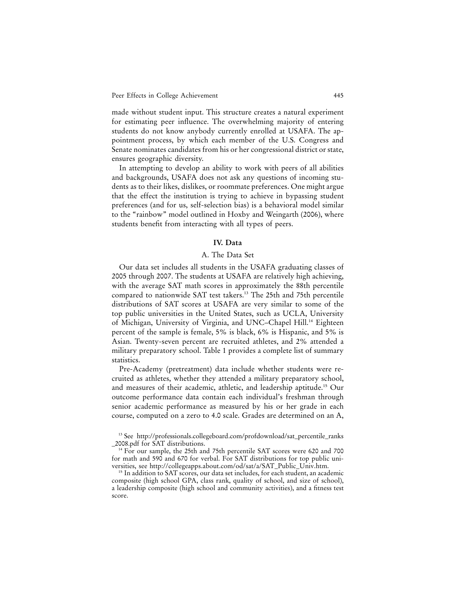made without student input. This structure creates a natural experiment for estimating peer influence. The overwhelming majority of entering students do not know anybody currently enrolled at USAFA. The appointment process, by which each member of the U.S. Congress and Senate nominates candidates from his or her congressional district or state, ensures geographic diversity.

In attempting to develop an ability to work with peers of all abilities and backgrounds, USAFA does not ask any questions of incoming students as to their likes, dislikes, or roommate preferences. One might argue that the effect the institution is trying to achieve in bypassing student preferences (and for us, self-selection bias) is a behavioral model similar to the "rainbow" model outlined in Hoxby and Weingarth (2006), where students benefit from interacting with all types of peers.

# **IV. Data**

#### A. The Data Set

Our data set includes all students in the USAFA graduating classes of 2005 through 2007. The students at USAFA are relatively high achieving, with the average SAT math scores in approximately the 88th percentile compared to nationwide SAT test takers.<sup>13</sup> The 25th and 75th percentile distributions of SAT scores at USAFA are very similar to some of the top public universities in the United States, such as UCLA, University of Michigan, University of Virginia, and UNC–Chapel Hill.14 Eighteen percent of the sample is female, 5% is black, 6% is Hispanic, and 5% is Asian. Twenty-seven percent are recruited athletes, and 2% attended a military preparatory school. Table 1 provides a complete list of summary statistics.

Pre-Academy (pretreatment) data include whether students were recruited as athletes, whether they attended a military preparatory school, and measures of their academic, athletic, and leadership aptitude.15 Our outcome performance data contain each individual's freshman through senior academic performance as measured by his or her grade in each course, computed on a zero to 4.0 scale. Grades are determined on an A,

<sup>13</sup> See http://professionals.collegeboard.com/profdownload/sat\_percentile\_ranks \_2008.pdf for SAT distributions.

<sup>&</sup>lt;sup>14</sup> For our sample, the 25th and 75th percentile SAT scores were 620 and 700 for math and 590 and 670 for verbal. For SAT distributions for top public universities, see http://collegeapps.about.com/od/sat/a/SAT\_Public\_Univ.htm.

<sup>&</sup>lt;sup>15</sup> In addition to SAT scores, our data set includes, for each student, an academic composite (high school GPA, class rank, quality of school, and size of school), a leadership composite (high school and community activities), and a fitness test score.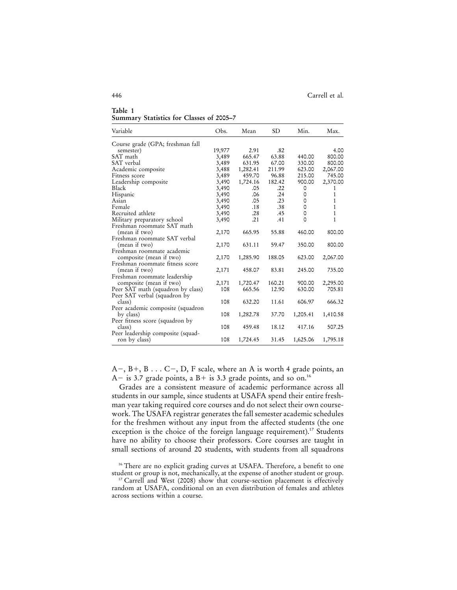**Table 1 Summary Statistics for Classes of 2005–7**

| Variable                          | Obs.   | Mean     | <b>SD</b> | Min.     | Max.     |
|-----------------------------------|--------|----------|-----------|----------|----------|
| Course grade (GPA; freshman fall  |        |          |           |          |          |
| semester)                         | 19,977 | 2.91     | .82       |          | 4.00     |
| SAT math                          | 3,489  | 665.47   | 63.88     | 440.00   | 800.00   |
| SAT verbal                        | 3,489  | 631.95   | 67.00     | 330.00   | 800.00   |
| Academic composite                | 3,488  | 1,282.41 | 211.99    | 623.00   | 2,067.00 |
| Fitness score                     | 3,489  | 459.70   | 96.88     | 215.00   | 745.00   |
| Leadership composite              | 3,490  | 1,724.16 | 182.42    | 900.00   | 2,370.00 |
| Black                             | 3,490  | .05      | .22       | 0        | 1        |
| Hispanic                          | 3,490  | .06      | .24       | 0        | 1        |
| Asian                             | 3,490  | .05      | .23       | 0        | 1        |
| Female                            | 3,490  | .18      | .38       | 0        | 1        |
| Recruited athlete                 | 3,490  | .28      | .45       | 0        | 1        |
| Military preparatory school       | 3,490  | .21      | .41       | $\Omega$ | 1        |
| Freshman roommate SAT math        |        |          |           |          |          |
| (mean if two)                     | 2,170  | 665.95   | 55.88     | 460.00   | 800.00   |
| Freshman roommate SAT verbal      |        |          |           |          |          |
| (mean if two)                     | 2,170  | 631.11   | 59.47     | 350.00   | 800.00   |
| Freshman roommate academic        |        |          |           |          |          |
| composite (mean if two)           | 2,170  | 1,285.90 | 188.05    | 623.00   | 2,067.00 |
| Freshman roommate fitness score   |        |          |           |          |          |
| (mean if two)                     | 2,171  | 458.07   | 83.81     | 245.00   | 735.00   |
| Freshman roommate leadership      |        |          |           |          |          |
| composite (mean if two)           | 2,171  | 1,720.47 | 160.21    | 900.00   | 2,295.00 |
| Peer SAT math (squadron by class) | 108    | 665.56   | 12.90     | 630.00   | 705.81   |
| Peer SAT verbal (squadron by      |        |          |           |          |          |
| class)                            | 108    | 632.20   | 11.61     | 606.97   | 666.32   |
| Peer academic composite (squadron |        |          |           |          |          |
| by class)                         | 108    | 1,282.78 | 37.70     | 1,205.41 | 1,410.58 |
| Peer fitness score (squadron by   |        |          |           |          |          |
| class)                            | 108    | 459.48   | 18.12     | 417.16   | 507.25   |
| Peer leadership composite (squad- |        |          |           |          |          |
| ron by class)                     | 108    | 1,724.45 | 31.45     | 1,625.06 | 1,795.18 |

A–, B+, B . . . C–, D, F scale, where an A is worth 4 grade points, an A– is 3.7 grade points, a B+ is 3.3 grade points, and so on.<sup>16</sup>

Grades are a consistent measure of academic performance across all students in our sample, since students at USAFA spend their entire freshman year taking required core courses and do not select their own coursework. The USAFA registrar generates the fall semester academic schedules for the freshmen without any input from the affected students (the one exception is the choice of the foreign language requirement).<sup>17</sup> Students have no ability to choose their professors. Core courses are taught in small sections of around 20 students, with students from all squadrons

<sup>16</sup> There are no explicit grading curves at USAFA. Therefore, a benefit to one student or group is not, mechanically, at the expense of another student or group.

<sup>17</sup> Carrell and West (2008) show that course-section placement is effectively random at USAFA, conditional on an even distribution of females and athletes across sections within a course.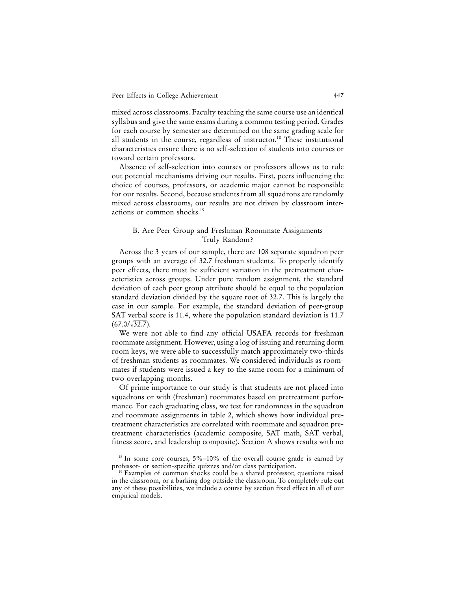mixed across classrooms. Faculty teaching the same course use an identical syllabus and give the same exams during a common testing period. Grades for each course by semester are determined on the same grading scale for all students in the course, regardless of instructor.18 These institutional characteristics ensure there is no self-selection of students into courses or toward certain professors.

Absence of self-selection into courses or professors allows us to rule out potential mechanisms driving our results. First, peers influencing the choice of courses, professors, or academic major cannot be responsible for our results. Second, because students from all squadrons are randomly mixed across classrooms, our results are not driven by classroom interactions or common shocks.19

# B. Are Peer Group and Freshman Roommate Assignments Truly Random?

Across the 3 years of our sample, there are 108 separate squadron peer groups with an average of 32.7 freshman students. To properly identify peer effects, there must be sufficient variation in the pretreatment characteristics across groups. Under pure random assignment, the standard deviation of each peer group attribute should be equal to the population standard deviation divided by the square root of 32.7. This is largely the case in our sample. For example, the standard deviation of peer-group SAT verbal score is 11.4, where the population standard deviation is 11.7  $(67.0/\sqrt{32.7})$ .

We were not able to find any official USAFA records for freshman roommate assignment. However, using a log of issuing and returning dorm room keys, we were able to successfully match approximately two-thirds of freshman students as roommates. We considered individuals as roommates if students were issued a key to the same room for a minimum of two overlapping months.

Of prime importance to our study is that students are not placed into squadrons or with (freshman) roommates based on pretreatment performance. For each graduating class, we test for randomness in the squadron and roommate assignments in table 2, which shows how individual pretreatment characteristics are correlated with roommate and squadron pretreatment characteristics (academic composite, SAT math, SAT verbal, fitness score, and leadership composite). Section A shows results with no

<sup>&</sup>lt;sup>18</sup> In some core courses, 5%-10% of the overall course grade is earned by professor- or section-specific quizzes and/or class participation.

<sup>&</sup>lt;sup>19</sup> Examples of common shocks could be a shared professor, questions raised in the classroom, or a barking dog outside the classroom. To completely rule out any of these possibilities, we include a course by section fixed effect in all of our empirical models.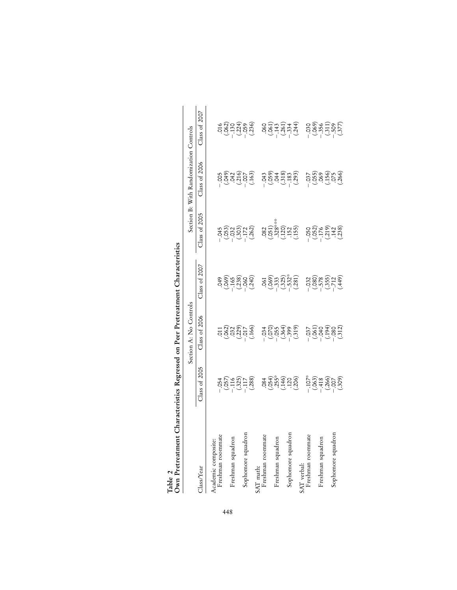|                     |                                                                               |                                                                                                                | $\sum_{i=1}^{n}$                                                                            |                                                                                      |                                                                           |                                                                                                                                                                                                                                                                                                                                                             |
|---------------------|-------------------------------------------------------------------------------|----------------------------------------------------------------------------------------------------------------|---------------------------------------------------------------------------------------------|--------------------------------------------------------------------------------------|---------------------------------------------------------------------------|-------------------------------------------------------------------------------------------------------------------------------------------------------------------------------------------------------------------------------------------------------------------------------------------------------------------------------------------------------------|
|                     |                                                                               | Section A: No Controls                                                                                         |                                                                                             |                                                                                      | Section B: With Randomization Controls                                    |                                                                                                                                                                                                                                                                                                                                                             |
| Class/Year          | Class of 2005                                                                 | Class of 2006                                                                                                  | Class of $2007$                                                                             | Class of 2005                                                                        | Class of 2006                                                             | Class of 2007                                                                                                                                                                                                                                                                                                                                               |
| Academic composite: |                                                                               |                                                                                                                |                                                                                             |                                                                                      |                                                                           |                                                                                                                                                                                                                                                                                                                                                             |
| Freshman roommate   |                                                                               |                                                                                                                |                                                                                             |                                                                                      |                                                                           |                                                                                                                                                                                                                                                                                                                                                             |
|                     | $-054$<br>$(057)$<br>$-116$<br>$-117$<br>$-117$<br>$-117$<br>$-117$<br>$-108$ | $\frac{13}{32}$<br>$\frac{13}{32}$<br>$\frac{17}{32}$<br>$\frac{17}{32}$<br>$\frac{17}{32}$<br>$\frac{17}{32}$ | $(369)$<br>$(369)$<br>$(38)$<br>$(38)$<br>$(40)$<br>$(50)$                                  | $-045$<br>$(053)$<br>$(303)$<br>$(303)$<br>$(1262)$                                  | $-0.35$<br>$-0.35$<br>$-0.55$<br>$-0.55$<br>$-0.55$<br>$-0.55$<br>$-0.55$ | $300$<br>$(0.02)$<br>$(1.24)$<br>$(0.36)$<br>$(0.36)$                                                                                                                                                                                                                                                                                                       |
| Freshman squadron   |                                                                               |                                                                                                                |                                                                                             |                                                                                      |                                                                           |                                                                                                                                                                                                                                                                                                                                                             |
|                     |                                                                               |                                                                                                                |                                                                                             |                                                                                      |                                                                           |                                                                                                                                                                                                                                                                                                                                                             |
| Sophomore squadron  |                                                                               |                                                                                                                |                                                                                             |                                                                                      |                                                                           |                                                                                                                                                                                                                                                                                                                                                             |
|                     |                                                                               |                                                                                                                |                                                                                             |                                                                                      |                                                                           |                                                                                                                                                                                                                                                                                                                                                             |
| SAT math:           |                                                                               |                                                                                                                |                                                                                             |                                                                                      |                                                                           |                                                                                                                                                                                                                                                                                                                                                             |
| Freshman roommate   |                                                                               |                                                                                                                |                                                                                             |                                                                                      | $-043$<br>$(059)$<br>$(318)$<br>$-183$<br>$-183$<br>$(293)$               |                                                                                                                                                                                                                                                                                                                                                             |
|                     |                                                                               |                                                                                                                |                                                                                             |                                                                                      |                                                                           |                                                                                                                                                                                                                                                                                                                                                             |
| Freshman squadron   |                                                                               |                                                                                                                |                                                                                             |                                                                                      |                                                                           |                                                                                                                                                                                                                                                                                                                                                             |
|                     | $(306, 306)$<br>$(354, 306)$<br>$(354, 306)$<br>$(306)$                       | $-034$<br>$(-070)$<br>$-0.55$<br>$-3.99$<br>$-3.19$<br>$-3.19$                                                 | $\begin{array}{c} (56)\\ (0.69)\\ (3.33)\\ (3.55)\\ (3.32)\\ (3.33)\\ (2.81)\\ \end{array}$ | $\begin{array}{c} 082 \\ (051) \\ (328*** \\ (120) \\ (152) \\ (155) \\ \end{array}$ |                                                                           | $\begin{array}{c} 060 \\[-4pt] 061 \\[-4pt] 041 \\[-4pt] -142 \\[-4pt] -143 \\[-4pt] -144 \\[-4pt] -144 \\[-4pt] -144 \\[-4pt] -144 \\[-4pt] -144 \\[-4pt] -144 \\[-4pt] -144 \\[-4pt] -144 \\[-4pt] -144 \\[-4pt] -144 \\[-4pt] -144 \\[-4pt] -144 \\[-4pt] -144 \\[-4pt] -144 \\[-4pt] -144 \\[-4pt] -144 \\[-4pt] -144 \\[-4pt] -144 \\[-4pt] -144 \\[-$ |
| Sophomore squadron  |                                                                               |                                                                                                                |                                                                                             |                                                                                      |                                                                           |                                                                                                                                                                                                                                                                                                                                                             |
|                     |                                                                               |                                                                                                                |                                                                                             |                                                                                      |                                                                           |                                                                                                                                                                                                                                                                                                                                                             |
| SAT verbal:         |                                                                               |                                                                                                                |                                                                                             |                                                                                      |                                                                           |                                                                                                                                                                                                                                                                                                                                                             |
| Freshman roommate   |                                                                               |                                                                                                                |                                                                                             |                                                                                      |                                                                           |                                                                                                                                                                                                                                                                                                                                                             |
|                     |                                                                               |                                                                                                                |                                                                                             |                                                                                      |                                                                           |                                                                                                                                                                                                                                                                                                                                                             |
| Freshman squadron   |                                                                               |                                                                                                                |                                                                                             |                                                                                      |                                                                           |                                                                                                                                                                                                                                                                                                                                                             |
|                     |                                                                               |                                                                                                                |                                                                                             |                                                                                      |                                                                           |                                                                                                                                                                                                                                                                                                                                                             |
| Sophomore squadron  |                                                                               |                                                                                                                | $-032$<br>$-0.80$<br>$-0.55$<br>$-0.712$<br>$-0.449$<br>$-0.449$                            |                                                                                      | - 359<br>059<br>059<br>069                                                |                                                                                                                                                                                                                                                                                                                                                             |
|                     | $-107$<br>$(-363)$<br>$-148$<br>$(-365)$<br>$-1007$<br>$-1007$<br>$-1009$     |                                                                                                                |                                                                                             | $-050$<br>$(052)$<br>$(219)$<br>$(219)$<br>$(238)$                                   |                                                                           | $-030$<br>$(069)$<br>$-356$<br>$(311)$<br>$-507$<br>$(377)$                                                                                                                                                                                                                                                                                                 |

Table 2<br>Own Pretreatment Characteristics Regressed on Peer Pretreatment Characteristics **Own Pretreatment Characteristics Regressed on Peer Pretreatment Characteristics**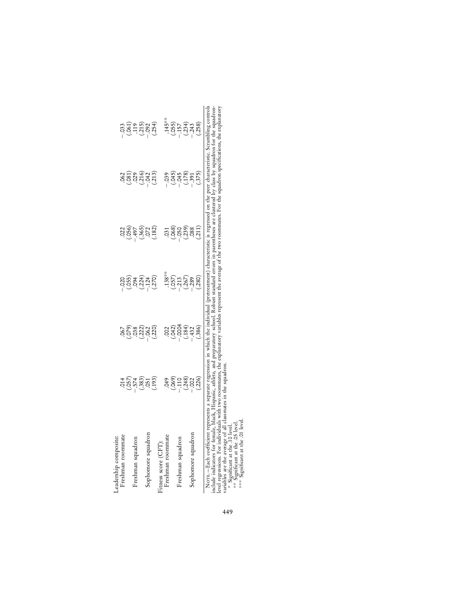| Freshman roommate |                                                                                                                                                                                                                                                                                                                                                                                                                                                                                                                                                                                                                                                                                                                                       |                                                                                                                                                                                                                                                                |                                                                        |                                                                                                                                                                                                                                                                                                                    |                                                                    |                                                                |
|-------------------|---------------------------------------------------------------------------------------------------------------------------------------------------------------------------------------------------------------------------------------------------------------------------------------------------------------------------------------------------------------------------------------------------------------------------------------------------------------------------------------------------------------------------------------------------------------------------------------------------------------------------------------------------------------------------------------------------------------------------------------|----------------------------------------------------------------------------------------------------------------------------------------------------------------------------------------------------------------------------------------------------------------|------------------------------------------------------------------------|--------------------------------------------------------------------------------------------------------------------------------------------------------------------------------------------------------------------------------------------------------------------------------------------------------------------|--------------------------------------------------------------------|----------------------------------------------------------------|
|                   |                                                                                                                                                                                                                                                                                                                                                                                                                                                                                                                                                                                                                                                                                                                                       |                                                                                                                                                                                                                                                                |                                                                        |                                                                                                                                                                                                                                                                                                                    |                                                                    |                                                                |
| squadrou-         |                                                                                                                                                                                                                                                                                                                                                                                                                                                                                                                                                                                                                                                                                                                                       |                                                                                                                                                                                                                                                                |                                                                        |                                                                                                                                                                                                                                                                                                                    |                                                                    |                                                                |
|                   |                                                                                                                                                                                                                                                                                                                                                                                                                                                                                                                                                                                                                                                                                                                                       |                                                                                                                                                                                                                                                                |                                                                        |                                                                                                                                                                                                                                                                                                                    |                                                                    |                                                                |
|                   |                                                                                                                                                                                                                                                                                                                                                                                                                                                                                                                                                                                                                                                                                                                                       |                                                                                                                                                                                                                                                                |                                                                        |                                                                                                                                                                                                                                                                                                                    |                                                                    |                                                                |
|                   | $(14)$<br>$(057)$<br>$(057)$<br>$(057)$<br>$(057)$<br>$(057)$                                                                                                                                                                                                                                                                                                                                                                                                                                                                                                                                                                                                                                                                         | $\begin{array}{c} 6,0.00000\\ 0.00000\\ 0.00000\\ 0.00000\\ 0.00000\\ 0.00000\\ 0.00000\\ 0.00000\\ 0.00000\\ 0.00000\\ 0.00000\\ 0.00000\\ 0.00000\\ 0.00000\\ 0.00000\\ 0.00000\\ 0.00000\\ 0.00000\\ 0.00000\\ 0.00000\\ 0.00000\\ 0.00000\\ 0.00000\\ 0.0$ | $1053 + 710$<br>$-0.053 + 710$<br>$-1.00$<br>$-1.00$<br>$-1.00$        | $33.8$<br>$3.6$<br>$3.6$<br>$3.8$<br>$3.8$<br>$3.8$<br>$3.8$<br>$3.8$                                                                                                                                                                                                                                              | $3339.273$<br>$339.7373$<br>$359.737$                              |                                                                |
|                   |                                                                                                                                                                                                                                                                                                                                                                                                                                                                                                                                                                                                                                                                                                                                       |                                                                                                                                                                                                                                                                |                                                                        |                                                                                                                                                                                                                                                                                                                    |                                                                    |                                                                |
| Freshman roommat  |                                                                                                                                                                                                                                                                                                                                                                                                                                                                                                                                                                                                                                                                                                                                       |                                                                                                                                                                                                                                                                |                                                                        |                                                                                                                                                                                                                                                                                                                    |                                                                    |                                                                |
|                   |                                                                                                                                                                                                                                                                                                                                                                                                                                                                                                                                                                                                                                                                                                                                       |                                                                                                                                                                                                                                                                |                                                                        | $\begin{smallmatrix} 5 & 8 & 8 & 8 \ 5 & 3 & 6 & 8 \ 5 & 6 & 6 & 8 \ 1 & 6 & 6 & 8 \ 1 & 6 & 6 & 8 \ 1 & 6 & 6 & 8 \ 1 & 6 & 6 & 8 \ 1 & 6 & 6 & 8 \ 1 & 6 & 6 & 8 \ 1 & 6 & 6 & 8 \ 1 & 6 & 6 & 8 \ 1 & 6 & 6 & 8 \ 1 & 6 & 6 & 8 \ 1 & 6 & 6 & 8 \ 1 & 6 & 6 & 8 \ 1 & 6 & 6 & 8 \ 1 & 6 & 6 & 8 \ 1 & 6 & 8 & $ |                                                                    |                                                                |
| squadron          |                                                                                                                                                                                                                                                                                                                                                                                                                                                                                                                                                                                                                                                                                                                                       |                                                                                                                                                                                                                                                                |                                                                        |                                                                                                                                                                                                                                                                                                                    |                                                                    |                                                                |
|                   |                                                                                                                                                                                                                                                                                                                                                                                                                                                                                                                                                                                                                                                                                                                                       |                                                                                                                                                                                                                                                                |                                                                        |                                                                                                                                                                                                                                                                                                                    |                                                                    |                                                                |
|                   |                                                                                                                                                                                                                                                                                                                                                                                                                                                                                                                                                                                                                                                                                                                                       |                                                                                                                                                                                                                                                                |                                                                        |                                                                                                                                                                                                                                                                                                                    |                                                                    |                                                                |
|                   | $\begin{array}{c}\n\bullet \circ \circ \\ \bullet \circ \circ \\ \bullet \circ \circ \\ \bullet \circ \circ \\ \bullet \circ \circ \\ \bullet \circ \circ \\ \bullet \circ \circ \\ \bullet \circ \circ \\ \bullet \circ \circ \\ \bullet \circ \circ \\ \bullet \circ \circ \\ \bullet \circ \circ \\ \bullet \circ \circ \\ \bullet \circ \circ \\ \bullet \circ \circ \\ \bullet \circ \circ \\ \bullet \circ \circ \\ \bullet \circ \circ \\ \bullet \circ \circ \\ \bullet \circ \circ \circ \\ \bullet \circ \circ \circ \\ \bullet \circ \circ \circ \\ \bullet \circ \circ \circ \\ \bullet \circ \circ \circ \circ \\ \bullet \circ \circ \circ \circ \\ \bullet \circ \circ \circ \circ \circ \\ \bullet \circ \circ \circ$ | $302$<br>$300$<br>$300$<br>$300$<br>$300$<br>$300$<br>$300$<br>$300$<br>$300$                                                                                                                                                                                  | $138**$<br>$(057)$<br>$-213$<br>$(267)$<br>$-289$<br>$(268)$<br>$-289$ | (211)                                                                                                                                                                                                                                                                                                              | $-339$<br>$-345$<br>$-391$<br>$-391$<br>$-375$<br>$-375$<br>$-375$ | $(355)$<br>$(355)$<br>$(357)$<br>$(334)$<br>$(234)$<br>$(258)$ |

Leadership composite:

Leadership composite:

Norr.—Each coefficient represents a separate ression in which the trainividual (pretreateristic is in paracteristic on the peer characteristic. Scrambling<br>include indicators for female, black, Hispanic, athlete, and prepar Note.—Each coefficient represents a separate regression in which the individual (pretreatment) characteristic is regressed on the peer characteristic. Scrambling controls include indicators for female, black, Hispanic, athlete, and preparatory school. Robust standard errors in parentheses are clustered by class by squadron for the squadronlevel regressions. For individuals with two roommates, the explanatory variables represent the average of the two roommates. For the squadron specifications, the explanatory variables are the average of all classmates in the squadron.

\* Significant at the .10 level.

\*\* Significant at the .05 level. \*\*\* Significant at the .01 level.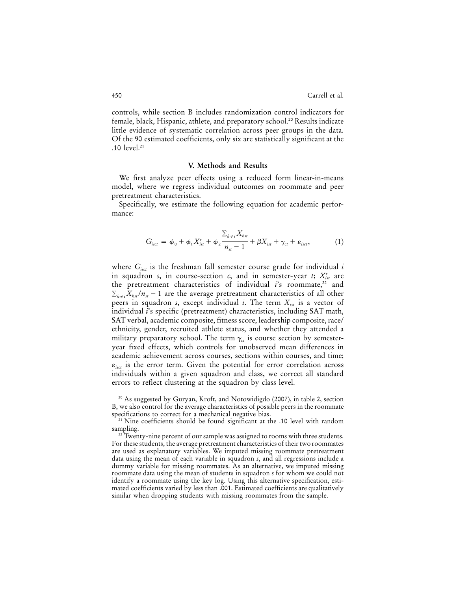controls, while section B includes randomization control indicators for female, black, Hispanic, athlete, and preparatory school.<sup>20</sup> Results indicate little evidence of systematic correlation across peer groups in the data. Of the 90 estimated coefficients, only six are statistically significant at the .10 level.<sup>21</sup>

# **V. Methods and Results**

We first analyze peer effects using a reduced form linear-in-means model, where we regress individual outcomes on roommate and peer pretreatment characteristics.

Specifically, we estimate the following equation for academic performance:

$$
G_{\scriptscriptstyle i\scriptscriptstyle s\scriptscriptstyle ct} = \phi_{\scriptscriptstyle 0} + \phi_{\scriptscriptstyle 1} X_{\scriptscriptstyle i\scriptscriptstyle st}^r + \phi_{\scriptscriptstyle 2} \frac{\sum_{k \neq i} X_{\scriptscriptstyle k\scriptscriptstyle s\scriptscriptstyle t}}{n_{\scriptscriptstyle s\scriptscriptstyle t}-1} + \beta X_{\scriptscriptstyle i\scriptscriptstyle s\scriptscriptstyle t} + \gamma_{\scriptscriptstyle ct} + \varepsilon_{\scriptscriptstyle i\scriptscriptstyle s\scriptscriptstyle ct},\tag{1}
$$

where  $G_{\text{i}sc}$  is the freshman fall semester course grade for individual  $i$ in squadron *s*, in course-section *c*, and in semester-year *t*;  $X_{ist}^r$  are the pretreatment characteristics of individual *i*'s roommate,<sup>22</sup> and  $\sum_{k \neq i} X_{kst}/n_{st} - 1$  are the average pretreatment characteristics of all other peers in squadron *s*, except individual *i*. The term  $X_{ist}$  is a vector of individual *i*'s specific (pretreatment) characteristics, including SAT math, SAT verbal, academic composite, fitness score, leadership composite, race/ ethnicity, gender, recruited athlete status, and whether they attended a military preparatory school. The term  $\gamma_{ct}$  is course section by semesteryear fixed effects, which controls for unobserved mean differences in academic achievement across courses, sections within courses, and time;  $\varepsilon_{\text{i} sct}$  is the error term. Given the potential for error correlation across individuals within a given squadron and class, we correct all standard errors to reflect clustering at the squadron by class level.

<sup>20</sup> As suggested by Guryan, Kroft, and Notowidigdo (2007), in table 2, section B, we also control for the average characteristics of possible peers in the roommate specifications to correct for a mechanical negative bias.

<sup>21</sup> Nine coefficients should be found significant at the .10 level with random sampling.

<sup>22</sup> Twenty-nine percent of our sample was assigned to rooms with three students. For these students, the average pretreatment characteristics of their two roommates are used as explanatory variables. We imputed missing roommate pretreatment data using the mean of each variable in squadron *s*, and all regressions include a dummy variable for missing roommates. As an alternative, we imputed missing roommate data using the mean of students in squadron *s* for whom we could not identify a roommate using the key log. Using this alternative specification, estimated coefficients varied by less than .001. Estimated coefficients are qualitatively similar when dropping students with missing roommates from the sample.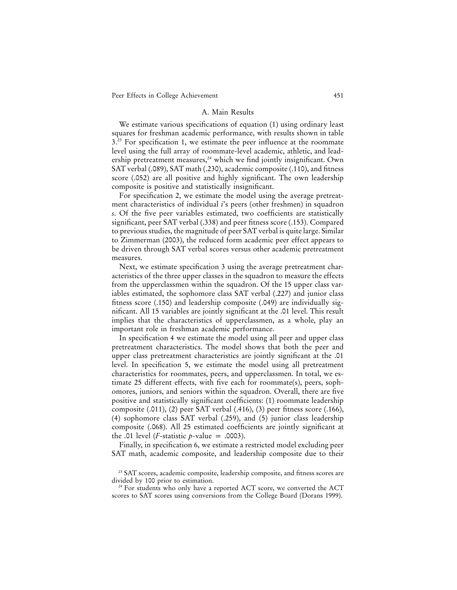Peer Effects in College Achievement 451

#### A. Main Results

We estimate various specifications of equation (1) using ordinary least squares for freshman academic performance, with results shown in table 3.<sup>23</sup> For specification 1, we estimate the peer influence at the roommate level using the full array of roommate-level academic, athletic, and leadership pretreatment measures,<sup>24</sup> which we find jointly insignificant. Own SAT verbal (.089), SAT math (.230), academic composite (.110), and fitness score (.052) are all positive and highly significant. The own leadership composite is positive and statistically insignificant.

For specification 2, we estimate the model using the average pretreatment characteristics of individual *i*'s peers (other freshmen) in squadron *s*. Of the five peer variables estimated, two coefficients are statistically significant, peer SAT verbal (.338) and peer fitness score (.153). Compared to previous studies, the magnitude of peer SAT verbal is quite large. Similar to Zimmerman (2003), the reduced form academic peer effect appears to be driven through SAT verbal scores versus other academic pretreatment measures.

Next, we estimate specification 3 using the average pretreatment characteristics of the three upper classes in the squadron to measure the effects from the upperclassmen within the squadron. Of the 15 upper class variables estimated, the sophomore class SAT verbal (.227) and junior class fitness score (.150) and leadership composite (.049) are individually significant. All 15 variables are jointly significant at the .01 level. This result implies that the characteristics of upperclassmen, as a whole, play an important role in freshman academic performance.

In specification 4 we estimate the model using all peer and upper class pretreatment characteristics. The model shows that both the peer and upper class pretreatment characteristics are jointly significant at the .01 level. In specification 5, we estimate the model using all pretreatment characteristics for roommates, peers, and upperclassmen. In total, we estimate 25 different effects, with five each for roommate(s), peers, sophomores, juniors, and seniors within the squadron. Overall, there are five positive and statistically significant coefficients: (1) roommate leadership composite (.011), (2) peer SAT verbal (.416), (3) peer fitness score (.166), (4) sophomore class SAT verbal (.259), and (5) junior class leadership composite (.068). All 25 estimated coefficients are jointly significant at the .01 level (*F*-statistic *p*-value = .0003).

Finally, in specification 6, we estimate a restricted model excluding peer SAT math, academic composite, and leadership composite due to their

<sup>&</sup>lt;sup>23</sup> SAT scores, academic composite, leadership composite, and fitness scores are divided by 100 prior to estimation.

<sup>&</sup>lt;sup>24</sup> For students who only have a reported ACT score, we converted the ACT scores to SAT scores using conversions from the College Board (Dorans 1999).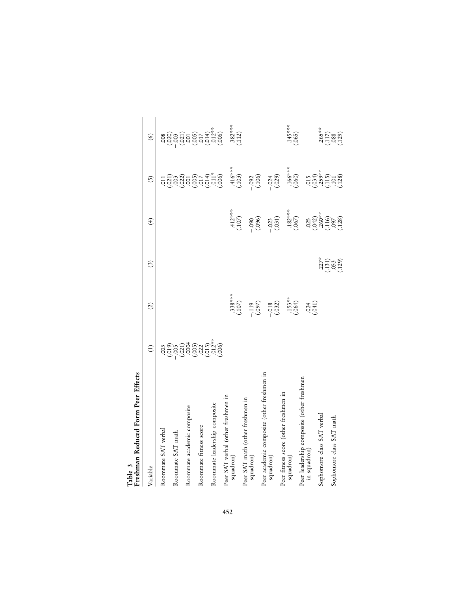| Freshman Reduced Form Peer Effects                 |                 |                    |                                        |                                                   |                                                              |                                        |
|----------------------------------------------------|-----------------|--------------------|----------------------------------------|---------------------------------------------------|--------------------------------------------------------------|----------------------------------------|
| Variable                                           | $\widehat{\Xi}$ | $\widehat{c}$      | $\binom{3}{2}$                         | $\left( 1\right)$                                 | $\widehat{c}$                                                | $\mathcal{E}$                          |
| Roommate SAT verbal                                |                 |                    |                                        |                                                   | $\overline{5}$                                               |                                        |
| Roommate SAT math                                  |                 |                    |                                        |                                                   |                                                              |                                        |
| Roommate academic composite                        |                 |                    |                                        |                                                   |                                                              |                                        |
| Roommate fitness score                             |                 |                    |                                        |                                                   |                                                              |                                        |
| Roommate leadership composite                      |                 |                    |                                        |                                                   |                                                              |                                        |
| Peer SAT verbal (other freshmen in<br>squadron)    |                 | (107)              |                                        | $.412***$                                         | .416***<br>(.103)                                            | $.382***$<br>(.112)                    |
| Peer SAT math (other freshmen in                   |                 |                    |                                        | (.107)                                            |                                                              |                                        |
| squadron)                                          |                 | (119)              |                                        | $(960') -$                                        | $-0.092$<br>(.106)                                           |                                        |
| Peer academic composite (other freshmen in         |                 |                    |                                        |                                                   |                                                              |                                        |
| squadron)                                          |                 | $-0.018$<br>(.032) |                                        | $-023$<br>(.031)                                  | $-024$<br>(.029)                                             |                                        |
| Peer fitness score (other freshmen in<br>squadron) |                 | $.153**$<br>(.064) |                                        | $.182***$<br>(.067)                               | $.166***$<br>(.060)                                          | $.145***$<br>(.065)                    |
| Peer leadership composite (other freshmen          |                 |                    |                                        |                                                   |                                                              |                                        |
| in squadron)                                       |                 | (341)              |                                        |                                                   |                                                              |                                        |
| Sophomore class SAT verbal                         |                 |                    |                                        |                                                   |                                                              |                                        |
|                                                    |                 |                    |                                        |                                                   |                                                              |                                        |
| Sophomore class SAT math                           |                 |                    | $.227$ *<br>(.131)<br>(.133)<br>(.129) | $33.28$<br>$33.42$<br>$35.8$<br>$37.52$<br>$38.3$ | $(34)$<br>$(334)$<br>$(45)$<br>$(115)$<br>$(128)$<br>$(128)$ | $265***$<br>(.117)<br>(.129)<br>(.129) |

 $\widetilde{\mathfrak{t}}$ - 6 Г,  $\overline{\phantom{a}}$ **Table 3**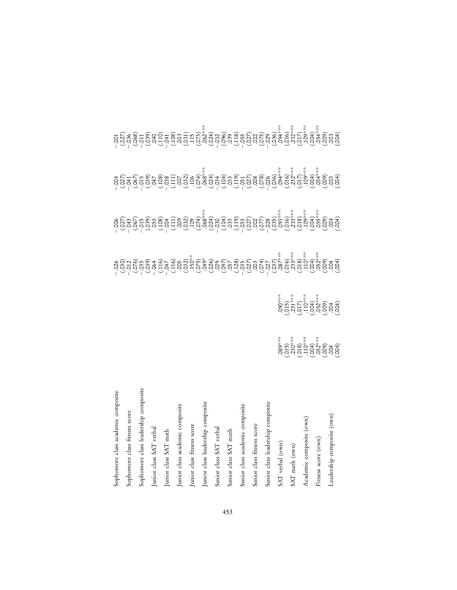| Sophomore class academic composite   |                                                                                                                                                    |  |  | $\frac{1}{2} \sum_{i=1}^{3} \sum_{j=1}^{3} \sum_{j=1}^{3} \sum_{j=1}^{3} \sum_{j=1}^{3} \sum_{j=1}^{3} \sum_{j=1}^{3} \sum_{j=1}^{3} \sum_{j=1}^{3} \sum_{j=1}^{3} \sum_{j=1}^{3} \sum_{j=1}^{3} \sum_{j=1}^{3} \sum_{j=1}^{3} \sum_{j=1}^{3} \sum_{j=1}^{3} \sum_{j=1}^{3} \sum_{j=1}^{3} \sum_{j=1}^{3} \sum_{j=1}^{3} \sum_{j=1}^{3} \sum_{$ |
|--------------------------------------|----------------------------------------------------------------------------------------------------------------------------------------------------|--|--|-------------------------------------------------------------------------------------------------------------------------------------------------------------------------------------------------------------------------------------------------------------------------------------------------------------------------------------------------|
|                                      |                                                                                                                                                    |  |  |                                                                                                                                                                                                                                                                                                                                                 |
| Sophomore class fitness score        |                                                                                                                                                    |  |  |                                                                                                                                                                                                                                                                                                                                                 |
| Sophomore class leadership composite |                                                                                                                                                    |  |  |                                                                                                                                                                                                                                                                                                                                                 |
|                                      |                                                                                                                                                    |  |  |                                                                                                                                                                                                                                                                                                                                                 |
| Junior class SAT verbal              |                                                                                                                                                    |  |  |                                                                                                                                                                                                                                                                                                                                                 |
| Junior class SAT math                |                                                                                                                                                    |  |  |                                                                                                                                                                                                                                                                                                                                                 |
|                                      |                                                                                                                                                    |  |  |                                                                                                                                                                                                                                                                                                                                                 |
| Junior class academic composite      |                                                                                                                                                    |  |  |                                                                                                                                                                                                                                                                                                                                                 |
| Junior class fitness score           |                                                                                                                                                    |  |  |                                                                                                                                                                                                                                                                                                                                                 |
| Junior class leadership composite    |                                                                                                                                                    |  |  |                                                                                                                                                                                                                                                                                                                                                 |
| Senior class SAT verbal              |                                                                                                                                                    |  |  |                                                                                                                                                                                                                                                                                                                                                 |
|                                      |                                                                                                                                                    |  |  |                                                                                                                                                                                                                                                                                                                                                 |
| Senior class SAT math                |                                                                                                                                                    |  |  |                                                                                                                                                                                                                                                                                                                                                 |
| Senior class academic composite      |                                                                                                                                                    |  |  |                                                                                                                                                                                                                                                                                                                                                 |
|                                      |                                                                                                                                                    |  |  |                                                                                                                                                                                                                                                                                                                                                 |
| Senior class fitness score           |                                                                                                                                                    |  |  |                                                                                                                                                                                                                                                                                                                                                 |
| Senior class leadership composite    |                                                                                                                                                    |  |  |                                                                                                                                                                                                                                                                                                                                                 |
|                                      |                                                                                                                                                    |  |  |                                                                                                                                                                                                                                                                                                                                                 |
| SAT verbal (own)                     |                                                                                                                                                    |  |  |                                                                                                                                                                                                                                                                                                                                                 |
| SAT math (own)                       | $(38)$<br>$(35)$<br>$(35)$<br>$(35)$<br>$(35)$<br>$(35)$<br>$(35)$<br>$(35)$<br>$(35)$<br>$(35)$<br>$(35)$<br>$(35)$<br>$(35)$<br>$(35)$<br>$(35)$ |  |  |                                                                                                                                                                                                                                                                                                                                                 |
|                                      |                                                                                                                                                    |  |  |                                                                                                                                                                                                                                                                                                                                                 |
| Academic composite (own)             |                                                                                                                                                    |  |  |                                                                                                                                                                                                                                                                                                                                                 |
|                                      |                                                                                                                                                    |  |  |                                                                                                                                                                                                                                                                                                                                                 |
| Fitness score (own)                  |                                                                                                                                                    |  |  |                                                                                                                                                                                                                                                                                                                                                 |
| Leadership composite (own)           |                                                                                                                                                    |  |  |                                                                                                                                                                                                                                                                                                                                                 |
|                                      |                                                                                                                                                    |  |  |                                                                                                                                                                                                                                                                                                                                                 |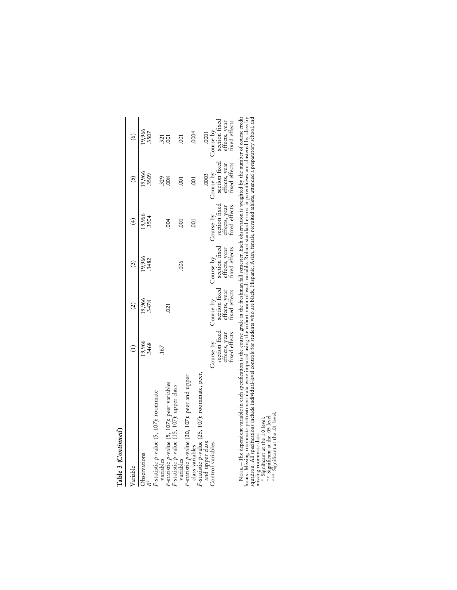| Variable                                                                                                |                                |                                |                                | $\left( 4\right)$              | $\widehat{\mathbf{e}}$         | $\odot$                 |
|---------------------------------------------------------------------------------------------------------|--------------------------------|--------------------------------|--------------------------------|--------------------------------|--------------------------------|-------------------------|
| Observations                                                                                            | 19,966                         | 19,966                         | 19,966                         | 19,966                         | 19,966                         | 19,966                  |
|                                                                                                         | 3468                           | 3478                           | .3482                          | 3504                           | 3509                           | .3507                   |
| F-statistic p-value (5, 107): roommate<br>variables                                                     | 167                            |                                |                                |                                |                                |                         |
|                                                                                                         |                                | 021                            |                                | $\overline{5}$                 | 329                            | $\frac{5}{2}$           |
| F-statistic p-value (5, 107): peer variables<br>F-statistic p-value (15, 107): upper class<br>variables |                                |                                | 006                            | ig                             | S                              |                         |
| $F\text{-statistic }p\text{-value}$ (20, 107): peer and upper class variables                           |                                |                                |                                |                                |                                |                         |
|                                                                                                         |                                |                                |                                | ទី                             | S                              | .0004                   |
| F-statistic p-value (25, 107): roommate, peer,                                                          |                                |                                |                                |                                |                                |                         |
| and upper class                                                                                         |                                |                                |                                |                                | 3000.                          | LOOO.                   |
| Control variables                                                                                       | Course-by-                     | Course-by-                     | Course-by-<br>section fixed    | Course-by-                     | -ourse-by-                     | Course-by               |
|                                                                                                         | section fixed                  | section fixed                  |                                | section fixed                  | section fixed                  | section f               |
|                                                                                                         | effects, year<br>fixed effects | effects, year<br>fixed effects | effects, year<br>fixed effects | effects, year<br>fixed effects | effects, year<br>fixed effects | effects, y<br>fixed eff |
|                                                                                                         |                                |                                |                                |                                |                                |                         |

19,966<br>3507

# Table 3 (Continued) **Table 3 (***Continued***)**

NorE.—The dependent variable in each specification is the course grade in the freshman fall semester. Each observation is weighted by the number of course credit<br>hours. Missing roommate pretreatment data were imputed using Note.—The dependent variable in each specification is the course grade in the freshman fall semester. Each observation is weighted by the number of course credit hours. Missing roommate pretreatment data were imputed using the cohort mean of each variable. Robust standard errors in parentheses are clustered by class by squadron. All specifications include individual-level controls for students who are black, Hispanic, Asian, female, recruited athlete, attended a preparatory school, and missing roommate data.

Course-by-effects, year section fixed fixed effects

\* Significant at the .10 level.

\*\* Significant at the .05 level.

\*\*\* Significant at the .01 level.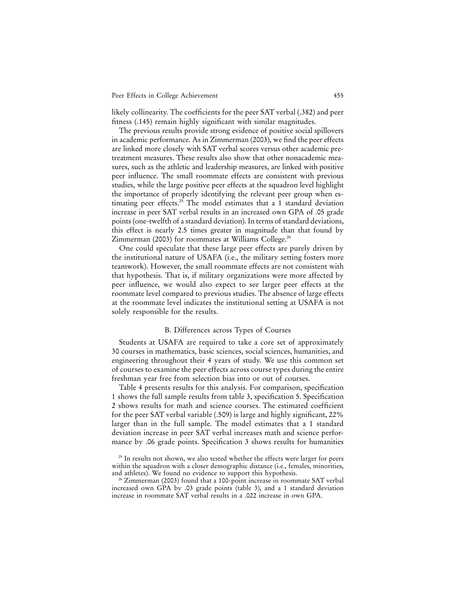likely collinearity. The coefficients for the peer SAT verbal (.382) and peer fitness (.145) remain highly significant with similar magnitudes.

The previous results provide strong evidence of positive social spillovers in academic performance. As in Zimmerman (2003), we find the peer effects are linked more closely with SAT verbal scores versus other academic pretreatment measures. These results also show that other nonacademic measures, such as the athletic and leadership measures, are linked with positive peer influence. The small roommate effects are consistent with previous studies, while the large positive peer effects at the squadron level highlight the importance of properly identifying the relevant peer group when estimating peer effects.<sup>25</sup> The model estimates that a 1 standard deviation increase in peer SAT verbal results in an increased own GPA of .05 grade points (one-twelfth of a standard deviation). In terms of standard deviations, this effect is nearly 2.5 times greater in magnitude than that found by Zimmerman (2003) for roommates at Williams College.<sup>26</sup>

One could speculate that these large peer effects are purely driven by the institutional nature of USAFA (i.e., the military setting fosters more teamwork). However, the small roommate effects are not consistent with that hypothesis. That is, if military organizations were more affected by peer influence, we would also expect to see larger peer effects at the roommate level compared to previous studies. The absence of large effects at the roommate level indicates the institutional setting at USAFA is not solely responsible for the results.

#### B. Differences across Types of Courses

Students at USAFA are required to take a core set of approximately 30 courses in mathematics, basic sciences, social sciences, humanities, and engineering throughout their 4 years of study. We use this common set of courses to examine the peer effects across course types during the entire freshman year free from selection bias into or out of courses.

Table 4 presents results for this analysis. For comparison, specification 1 shows the full sample results from table 3, specification 5. Specification 2 shows results for math and science courses. The estimated coefficient for the peer SAT verbal variable (.509) is large and highly significant, 22% larger than in the full sample. The model estimates that a 1 standard deviation increase in peer SAT verbal increases math and science performance by .06 grade points. Specification 3 shows results for humanities

<sup>&</sup>lt;sup>25</sup> In results not shown, we also tested whether the effects were larger for peers within the squadron with a closer demographic distance (i.e., females, minorities, and athletes). We found no evidence to support this hypothesis.

<sup>&</sup>lt;sup>26</sup> Zimmerman (2003) found that a 100-point increase in roommate SAT verbal increased own GPA by .03 grade points (table 3), and a 1 standard deviation increase in roommate SAT verbal results in a .022 increase in own GPA.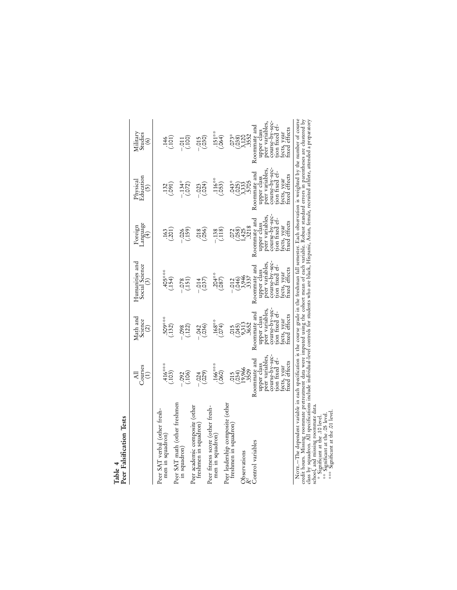| ۳<br>$T_{es}$               |  |
|-----------------------------|--|
| É<br>E                      |  |
| els<br><b>cer</b><br>֠<br>ಸ |  |

|                                                                                                                                                | $\frac{\text{All}}{\text{Coures}}$<br>$\widehat{\Xi}$ | Math and<br>Science<br>(2)                         | Humanities and<br>Social Science<br>(3)             | Foreign<br>Language<br>(4)                        | Physical<br>Education<br>$\widetilde{\mathcal{L}}$ | Military<br>Studies<br>(6)                         |
|------------------------------------------------------------------------------------------------------------------------------------------------|-------------------------------------------------------|----------------------------------------------------|-----------------------------------------------------|---------------------------------------------------|----------------------------------------------------|----------------------------------------------------|
| Peer SAT math (other freshmen<br>Peer SAT verbal (other fresh-<br>men in squadron)                                                             | (103)                                                 | $.509***$<br>(.132)                                | (154)                                               | $\frac{163}{201}$                                 | $\frac{132}{(091)}$                                | $\frac{146}{(101)}$                                |
| Peer academic composite (other<br>in squadron)                                                                                                 | (.106)<br>$-0.092$                                    | (122)                                              | (151)                                               | $-026$<br>(.159)                                  | $(.34^{*})$<br>(.072)                              | $\frac{1}{25}$                                     |
| Peer fitness score (other fresh-<br>freshmen in squadron)                                                                                      | $-024$<br>(.029)                                      | (336)                                              | (35)                                                | $\frac{0.05}{0.05}$                               | (33)                                               | (030)                                              |
| Peer leadership composite (other<br>men in squadron)                                                                                           | $.166***$<br>(.060)                                   | $(168^{***})$                                      | $.204***$<br>(.087)                                 | $-138$<br>(.118)                                  | $\frac{.116***}{(.053)}$                           | $(0.151**$                                         |
| treshmen in squadron)<br>$\frac{Observations}{R^2}$                                                                                            | 3509<br>(334)<br>3509<br>3509                         | 015<br>04503<br>03652                              | $-0.22$<br>$(0.46)$<br>$(0.46)$<br>$(0.3337)$       |                                                   | ن<br>مرکز نوی<br>مرکز نوی                          | 338252                                             |
| Control variables                                                                                                                              | Roommate and<br>upper class                           | Roommate and<br>upper class                        | Roommate and<br>upper class                         | Roommate and<br>upper class                       | Roommate and<br>upper class                        | Roommate and<br>upper class                        |
|                                                                                                                                                | pēer variables,<br>course-by-sec-<br>tion fixed ef-   | peer variables,<br>course-by-sec-<br>tion fixed et | pêer variables,<br>course-by-sec-<br>tion fixed ef- | course-by-sec-<br>beer variables,<br>ion fixed ef | eer variables<br>course-by-sec<br>con fixed ef-    | course-by-sec-<br>beer variables,<br>tion fixed ef |
|                                                                                                                                                | fects, year<br>fixed effects                          | fects, year<br>fixed effects                       | fects, year<br>fixed effects                        | fects, year<br>fixed effects                      | fects, year<br>fixed effects                       | fects, year<br>fixed effects                       |
| Norre —The dependent worighle in each enodic contact in the free in the freehome fall comercial convention is resigned by the number of course |                                                       |                                                    |                                                     |                                                   |                                                    |                                                    |

Norr...–The dependent variable in each specification is the course grade in the freshman fall semester. Each observation is weighted by the number of course<br>credit hours. Missing roommate pretreatment data were imputed usi Note.—The dependent variable in each specification is the course grade in the freshman fall semester. Each observation is weighted by the number of course credit hours. Missing roommate pretreatment data were imputed using the cohort mean of each variable. Robust standard errors in parentheses are clustered by class by squadron. All specifications include individual-level controls for students who are black, Hispanic, Asian, female, recruited athlete, attended a preparatory school, and missing roommate data.

\* Significant at the .10 level.

\*\* Significant at the .05 level.

\*\*\* Significant at the .01 level.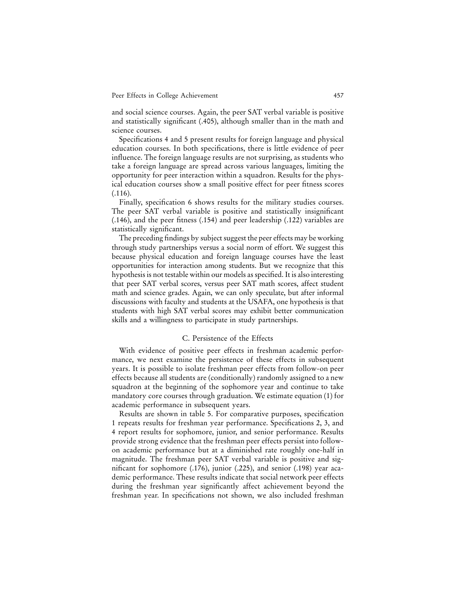and social science courses. Again, the peer SAT verbal variable is positive and statistically significant (.405), although smaller than in the math and science courses.

Specifications 4 and 5 present results for foreign language and physical education courses. In both specifications, there is little evidence of peer influence. The foreign language results are not surprising, as students who take a foreign language are spread across various languages, limiting the opportunity for peer interaction within a squadron. Results for the physical education courses show a small positive effect for peer fitness scores (.116).

Finally, specification 6 shows results for the military studies courses. The peer SAT verbal variable is positive and statistically insignificant (.146), and the peer fitness (.154) and peer leadership (.122) variables are statistically significant.

The preceding findings by subject suggest the peer effects may be working through study partnerships versus a social norm of effort. We suggest this because physical education and foreign language courses have the least opportunities for interaction among students. But we recognize that this hypothesis is not testable within our models as specified. It is also interesting that peer SAT verbal scores, versus peer SAT math scores, affect student math and science grades. Again, we can only speculate, but after informal discussions with faculty and students at the USAFA, one hypothesis is that students with high SAT verbal scores may exhibit better communication skills and a willingness to participate in study partnerships.

# C. Persistence of the Effects

With evidence of positive peer effects in freshman academic performance, we next examine the persistence of these effects in subsequent years. It is possible to isolate freshman peer effects from follow-on peer effects because all students are (conditionally) randomly assigned to a new squadron at the beginning of the sophomore year and continue to take mandatory core courses through graduation. We estimate equation (1) for academic performance in subsequent years.

Results are shown in table 5. For comparative purposes, specification 1 repeats results for freshman year performance. Specifications 2, 3, and 4 report results for sophomore, junior, and senior performance. Results provide strong evidence that the freshman peer effects persist into followon academic performance but at a diminished rate roughly one-half in magnitude. The freshman peer SAT verbal variable is positive and significant for sophomore (.176), junior (.225), and senior (.198) year academic performance. These results indicate that social network peer effects during the freshman year significantly affect achievement beyond the freshman year. In specifications not shown, we also included freshman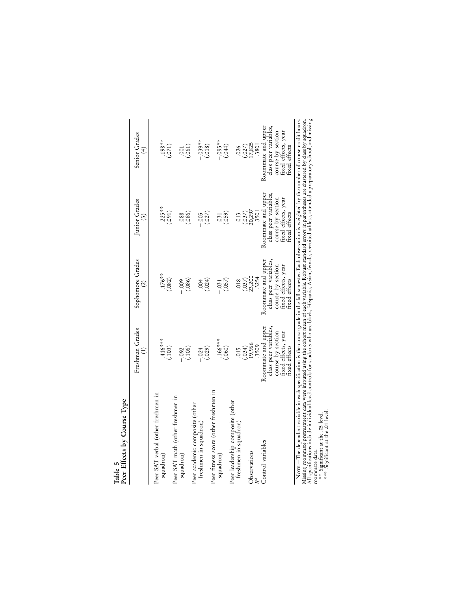| Peer Effects by Course Type                                                                                                                                   |                           |                              |                              |                            |
|---------------------------------------------------------------------------------------------------------------------------------------------------------------|---------------------------|------------------------------|------------------------------|----------------------------|
|                                                                                                                                                               | Freshman Grades           | Sophomore Grades             | Junior Grades                | Senior Grades              |
|                                                                                                                                                               | $\widehat{\Xi}$           | $\widehat{c}$                | $\binom{3}{2}$               | $\widehat{\mathcal{F}}$    |
| Peer SAT verbal (other freshmen in                                                                                                                            | $.416***$                 | $.176***$                    | $.225**$                     | $198**$                    |
| squadron)                                                                                                                                                     | (.103)                    | (.082)                       | (160)                        | (0.071)                    |
| Peer SAT math (other freshmen in                                                                                                                              | (.106)                    | (.086)                       | (.086)                       | (.061)                     |
| squadron)                                                                                                                                                     | $-0.092$                  | $-000 -$                     | .088                         | <b>DOC</b>                 |
| Peer academic composite (other                                                                                                                                | (.029)                    | (.024)                       | (.027)                       | $-0.39***$                 |
| freshmen in squadron)                                                                                                                                         | $-.024$                   | POO.                         | 8g                           | (.018)                     |
| Peer fitness score (other freshmen in                                                                                                                         | $.166***$                 | (.057)                       | (059)                        | $-0.095**$                 |
| squadron)                                                                                                                                                     | (.060)                    | $-.031$                      | .031                         | (.044)                     |
| Peer leadership composite (other<br>freshmen in squadron)                                                                                                     | $\frac{5}{2}$             | 018                          | 013                          | 026                        |
| Observations<br>R <sup>2</sup>                                                                                                                                | 19,966<br>.3509<br>(.034) | $(037)$<br>$23,200$<br>.3254 | $(037)$<br>$20,297$<br>.3501 | $(027)$<br>17,825<br>.3801 |
| Control variables                                                                                                                                             | class peer variables,     | class peer variables,        | class peer variables,        | class peer variables,      |
|                                                                                                                                                               | Roommate and upper        | Roommate and upper           | Roommate and upper           | Roommate and upper         |
|                                                                                                                                                               | course by section         | course by section            | fixed effects, year          | fixed effects, year        |
|                                                                                                                                                               | fixed effects, year       | fixed effects, year          | course by section            | course by section          |
|                                                                                                                                                               | fixed effects             | fixed effects                | fixed effects                | fixed effects              |
| Norr —The dependent variable in each specification is the course orade in the fall semester Fach observation is weighted by the number of course credit hours |                           |                              |                              |                            |

 $\mathbf{r}$ Norr..–The dependent variable in each specification is the course grade in the fall semester. Each observation is weighted by the number of course credit hours.<br>Missing roommate pretreatment data were imputed using the coh Note.—The dependent variable in each specification is the course grade in the fall semester. Each observation is weighted by the number of course credit hours. Missing roommate pretreatment data were imputed using the cohort mean of each variable. Robust standard errors in parentheses are clustered by class by squadron. All specifications include individual-level controls for students who are black, Hispanic, Asian, female, recruited athlete, attended a preparatory school, and missing roommate data.

\*\* Significant at the .05 level.

\*\*\* Significant at the .01 level.

**Peer Effects by Course Type**  $\zeta$  $+$ e  $\mathbf{h}$ **Table 5**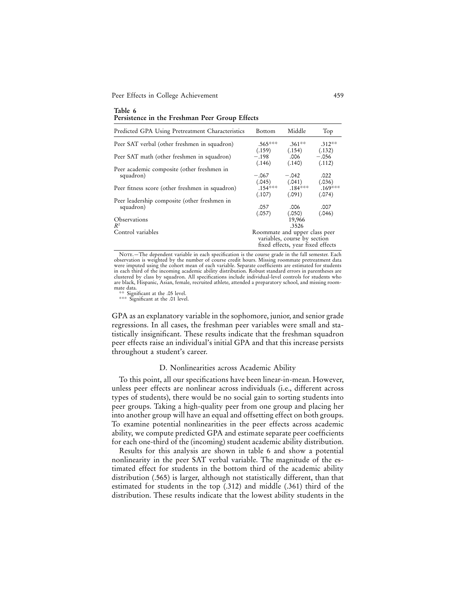Peer Effects in College Achievement 459

**Table 6**

| Persistence in the Freshman Peer Group Effects            |                     |                                                                                                    |                    |
|-----------------------------------------------------------|---------------------|----------------------------------------------------------------------------------------------------|--------------------|
| Predicted GPA Using Pretreatment Characteristics          | <b>Bottom</b>       | Middle                                                                                             | Top                |
| Peer SAT verbal (other freshmen in squadron)              | $.565***$<br>(.159) | $.361***$<br>(.154)                                                                                | $.312**$<br>(.132) |
| Peer SAT math (other freshmen in squadron)                | $-.198$<br>(.146)   | .006<br>(.140)                                                                                     | $-.056$<br>(.112)  |
| Peer academic composite (other freshmen in<br>squadron)   | $-.067$             | $-.042$<br>$(.045)$ $(.041)$                                                                       | .022<br>(.036)     |
| Peer fitness score (other freshmen in squadron)           | (.107)              | $.154***$ $.184***$ $.169***$<br>(.091)                                                            | (.074)             |
| Peer leadership composite (other freshmen in<br>squadron) | .057<br>(.057)      | .006<br>(.050)                                                                                     | .007<br>(.046)     |
| Observations<br>$R^2$                                     |                     | 19,966<br>.3526                                                                                    |                    |
| Control variables                                         |                     | Roommate and upper class peer<br>variables, course by section<br>fixed effects, year fixed effects |                    |

Note.—The dependent variable in each specification is the course grade in the fall semester. Each observation is weighted by the number of course credit hours. Missing roommate pretreatment data<br>were imputed using the cohort mean of each variable. Separate coefficients are estimated for students<br>in each third of the in clustered by class by squadron. All specifications include individual-level controls for students who are black, Hispanic, Asian, female, recruited athlete, attended a preparatory school, and missing roommate data.

\*\* Significant at the .05 level. \*\*\* Significant at the .01 level.

GPA as an explanatory variable in the sophomore, junior, and senior grade regressions. In all cases, the freshman peer variables were small and statistically insignificant. These results indicate that the freshman squadron peer effects raise an individual's initial GPA and that this increase persists throughout a student's career.

#### D. Nonlinearities across Academic Ability

To this point, all our specifications have been linear-in-mean. However, unless peer effects are nonlinear across individuals (i.e., different across types of students), there would be no social gain to sorting students into peer groups. Taking a high-quality peer from one group and placing her into another group will have an equal and offsetting effect on both groups. To examine potential nonlinearities in the peer effects across academic ability, we compute predicted GPA and estimate separate peer coefficients for each one-third of the (incoming) student academic ability distribution.

Results for this analysis are shown in table 6 and show a potential nonlinearity in the peer SAT verbal variable. The magnitude of the estimated effect for students in the bottom third of the academic ability distribution (.565) is larger, although not statistically different, than that estimated for students in the top (.312) and middle (.361) third of the distribution. These results indicate that the lowest ability students in the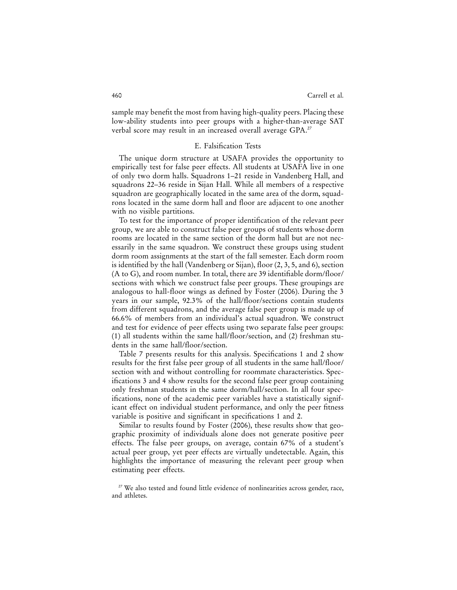sample may benefit the most from having high-quality peers. Placing these low-ability students into peer groups with a higher-than-average SAT verbal score may result in an increased overall average GPA.<sup>27</sup>

#### E. Falsification Tests

The unique dorm structure at USAFA provides the opportunity to empirically test for false peer effects. All students at USAFA live in one of only two dorm halls. Squadrons 1–21 reside in Vandenberg Hall, and squadrons 22–36 reside in Sijan Hall. While all members of a respective squadron are geographically located in the same area of the dorm, squadrons located in the same dorm hall and floor are adjacent to one another with no visible partitions.

To test for the importance of proper identification of the relevant peer group, we are able to construct false peer groups of students whose dorm rooms are located in the same section of the dorm hall but are not necessarily in the same squadron. We construct these groups using student dorm room assignments at the start of the fall semester. Each dorm room is identified by the hall (Vandenberg or Sijan), floor (2, 3, 5, and 6), section (A to G), and room number. In total, there are 39 identifiable dorm/floor/ sections with which we construct false peer groups. These groupings are analogous to hall-floor wings as defined by Foster (2006). During the 3 years in our sample, 92.3% of the hall/floor/sections contain students from different squadrons, and the average false peer group is made up of 66.6% of members from an individual's actual squadron. We construct and test for evidence of peer effects using two separate false peer groups: (1) all students within the same hall/floor/section, and (2) freshman students in the same hall/floor/section.

Table 7 presents results for this analysis. Specifications 1 and 2 show results for the first false peer group of all students in the same hall/floor/ section with and without controlling for roommate characteristics. Specifications 3 and 4 show results for the second false peer group containing only freshman students in the same dorm/hall/section. In all four specifications, none of the academic peer variables have a statistically significant effect on individual student performance, and only the peer fitness variable is positive and significant in specifications 1 and 2.

Similar to results found by Foster (2006), these results show that geographic proximity of individuals alone does not generate positive peer effects. The false peer groups, on average, contain 67% of a student's actual peer group, yet peer effects are virtually undetectable. Again, this highlights the importance of measuring the relevant peer group when estimating peer effects.

<sup>&</sup>lt;sup>27</sup> We also tested and found little evidence of nonlinearities across gender, race, and athletes.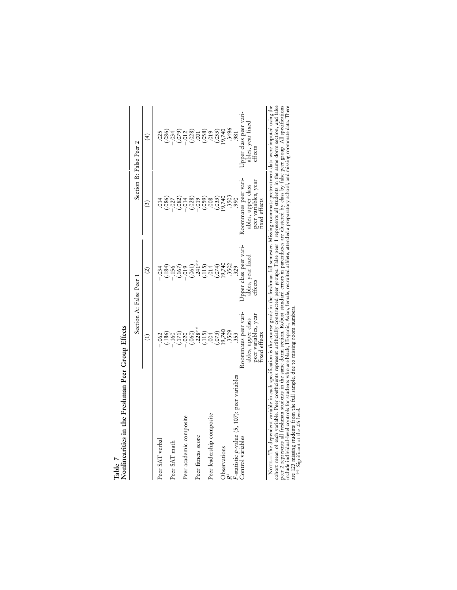| Group                    |  |
|--------------------------|--|
|                          |  |
| the Freshman Peer        |  |
|                          |  |
| Ë<br>aritie <sup>r</sup> |  |
| $m$ nde $n$              |  |

|                                                                                                                                                            |                                                                                         | Section A: False Peer 1                   |                                       | Section B: False Peer 2                 |
|------------------------------------------------------------------------------------------------------------------------------------------------------------|-----------------------------------------------------------------------------------------|-------------------------------------------|---------------------------------------|-----------------------------------------|
|                                                                                                                                                            |                                                                                         | $\widehat{c}$                             | $\mathcal{L}$                         | $\widehat{f}$                           |
| Peer SAT verbal                                                                                                                                            | .062                                                                                    | .034                                      |                                       | 025                                     |
|                                                                                                                                                            |                                                                                         |                                           | (.086)                                | (086)                                   |
| Peer SAT math                                                                                                                                              |                                                                                         |                                           | .027                                  |                                         |
| Peer academic composite                                                                                                                                    | $(186)$<br>$-160$<br>$-160$<br>$-160$<br>$-160$<br>$-180$<br>$-180$<br>$-180$<br>$-180$ | $(184)$<br>$(156)$<br>$(167)$             | (.082)                                | $(.079)$<br>$-012$<br>$(.028)$<br>$001$ |
|                                                                                                                                                            |                                                                                         | $(061)$<br>$(241**$<br>$(115)$<br>$(115)$ |                                       |                                         |
| Peer fitness score                                                                                                                                         |                                                                                         |                                           | $(-0.028)$                            |                                         |
|                                                                                                                                                            | $(115)$<br>$004$                                                                        |                                           | $(659)$<br>$(659)$                    | $(058)$<br>$(0.50)$                     |
| Peer leadership composite                                                                                                                                  |                                                                                         |                                           |                                       |                                         |
|                                                                                                                                                            | (.073)                                                                                  | (074)                                     |                                       |                                         |
| Observations                                                                                                                                               | 19,740                                                                                  | 19,740                                    | $(033)$<br>$9,740$                    | $(033)$<br>9,740                        |
|                                                                                                                                                            | .3509                                                                                   | .3502                                     | .3503                                 | .3496                                   |
| F-statistic p-value (5, 107): peer variables                                                                                                               | .353                                                                                    | 329                                       | <b>066</b>                            | .981                                    |
| Control variables                                                                                                                                          | Koommates peer vari-                                                                    | Upper class peer vari-                    | Koommates peer vari-                  | Upper class peer vari-                  |
|                                                                                                                                                            | ables, upper class                                                                      | ables, year fixed                         | ables, upper class                    | ables, year fixed                       |
|                                                                                                                                                            | peer variables, year<br>fixed effects                                                   | effects                                   | peer variables, year<br>fixed effects | ettects                                 |
| Norr —The dependent variable in each specification is the course orade in the freshman fall semester. Missing commate neatment data were imputed using the |                                                                                         |                                           |                                       |                                         |

Norr.—The dependent variable in each specification is the course grade in the freshman fall semester. Missing roommate pretreatment data were imputed using the cohort mean of each variable. Peer coefficients represent arti Note.—The dependent variable in each specification is the course grade in the freshman fall semester. Missing roommate pretreatment data were imputed using the cohort mean of each variable. Peer coefficients represent artificially constructed peer groups. False peer 1 represents all students in the same dorm section, and false peer 2 represents all freshman students in the same dorm section. Robust standard errors in parentheses are clustered by class by false peer group. All specifications include individual-level controls for students who are black, Hispanic, Asian, female, recruited athlete, attended a preparatory school, and missing roommate data. There are 123 missing students from the full sample, due to missing room numbers.

\*\* Significant at the .05 level.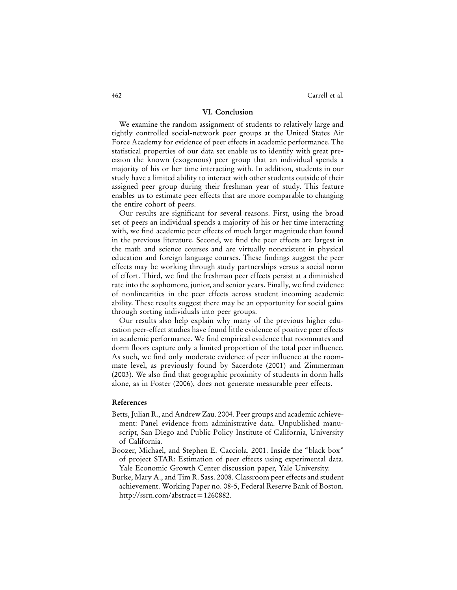462 Carrell et al.

# **VI. Conclusion**

We examine the random assignment of students to relatively large and tightly controlled social-network peer groups at the United States Air Force Academy for evidence of peer effects in academic performance. The statistical properties of our data set enable us to identify with great precision the known (exogenous) peer group that an individual spends a majority of his or her time interacting with. In addition, students in our study have a limited ability to interact with other students outside of their assigned peer group during their freshman year of study. This feature enables us to estimate peer effects that are more comparable to changing the entire cohort of peers.

Our results are significant for several reasons. First, using the broad set of peers an individual spends a majority of his or her time interacting with, we find academic peer effects of much larger magnitude than found in the previous literature. Second, we find the peer effects are largest in the math and science courses and are virtually nonexistent in physical education and foreign language courses. These findings suggest the peer effects may be working through study partnerships versus a social norm of effort. Third, we find the freshman peer effects persist at a diminished rate into the sophomore, junior, and senior years. Finally, we find evidence of nonlinearities in the peer effects across student incoming academic ability. These results suggest there may be an opportunity for social gains through sorting individuals into peer groups.

Our results also help explain why many of the previous higher education peer-effect studies have found little evidence of positive peer effects in academic performance. We find empirical evidence that roommates and dorm floors capture only a limited proportion of the total peer influence. As such, we find only moderate evidence of peer influence at the roommate level, as previously found by Sacerdote (2001) and Zimmerman (2003). We also find that geographic proximity of students in dorm halls alone, as in Foster (2006), does not generate measurable peer effects.

#### **References**

- Betts, Julian R., and Andrew Zau. 2004. Peer groups and academic achievement: Panel evidence from administrative data. Unpublished manuscript, San Diego and Public Policy Institute of California, University of California.
- Boozer, Michael, and Stephen E. Cacciola. 2001. Inside the "black box" of project STAR: Estimation of peer effects using experimental data. Yale Economic Growth Center discussion paper, Yale University.
- Burke, Mary A., and Tim R. Sass. 2008. Classroom peer effects and student achievement. Working Paper no. 08-5, Federal Reserve Bank of Boston. http://ssrn.com/abstract=1260882.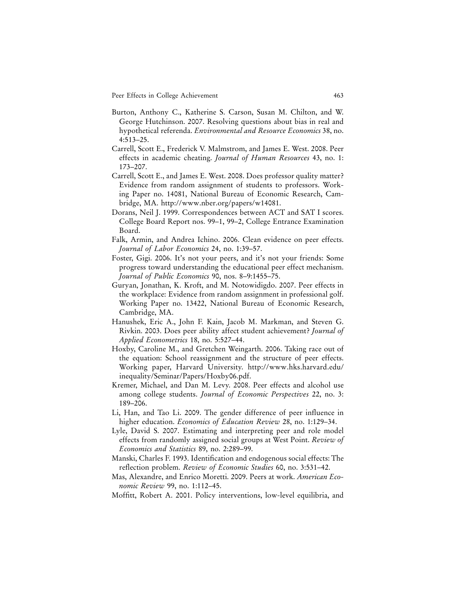- Burton, Anthony C., Katherine S. Carson, Susan M. Chilton, and W. George Hutchinson. 2007. Resolving questions about bias in real and hypothetical referenda. *Environmental and Resource Economics* 38, no. 4:513–25.
- Carrell, Scott E., Frederick V. Malmstrom, and James E. West. 2008. Peer effects in academic cheating. *Journal of Human Resources* 43, no. 1: 173–207.
- Carrell, Scott E., and James E. West. 2008. Does professor quality matter? Evidence from random assignment of students to professors. Working Paper no. 14081, National Bureau of Economic Research, Cambridge, MA. http://www.nber.org/papers/w14081.
- Dorans, Neil J. 1999. Correspondences between ACT and SAT I scores. College Board Report nos. 99–1, 99–2, College Entrance Examination Board.
- Falk, Armin, and Andrea Ichino. 2006. Clean evidence on peer effects. *Journal of Labor Economics* 24, no. 1:39–57.
- Foster, Gigi. 2006. It's not your peers, and it's not your friends: Some progress toward understanding the educational peer effect mechanism. *Journal of Public Economics* 90, nos. 8–9:1455–75.
- Guryan, Jonathan, K. Kroft, and M. Notowidigdo. 2007. Peer effects in the workplace: Evidence from random assignment in professional golf. Working Paper no. 13422, National Bureau of Economic Research, Cambridge, MA.
- Hanushek, Eric A., John F. Kain, Jacob M. Markman, and Steven G. Rivkin. 2003. Does peer ability affect student achievement? *Journal of Applied Econometrics* 18, no. 5:527–44.
- Hoxby, Caroline M., and Gretchen Weingarth. 2006. Taking race out of the equation: School reassignment and the structure of peer effects. Working paper, Harvard University. http://www.hks.harvard.edu/ inequality/Seminar/Papers/Hoxby06.pdf.
- Kremer, Michael, and Dan M. Levy. 2008. Peer effects and alcohol use among college students. *Journal of Economic Perspectives* 22, no. 3: 189–206.
- Li, Han, and Tao Li. 2009. The gender difference of peer influence in higher education. *Economics of Education Review* 28, no. 1:129–34.
- Lyle, David S. 2007. Estimating and interpreting peer and role model effects from randomly assigned social groups at West Point. *Review of Economics and Statistics* 89, no. 2:289–99.
- Manski, Charles F. 1993. Identification and endogenous social effects: The reflection problem. *Review of Economic Studies* 60, no. 3:531–42.
- Mas, Alexandre, and Enrico Moretti. 2009. Peers at work. *American Economic Review* 99, no. 1:112–45.
- Moffitt, Robert A. 2001. Policy interventions, low-level equilibria, and